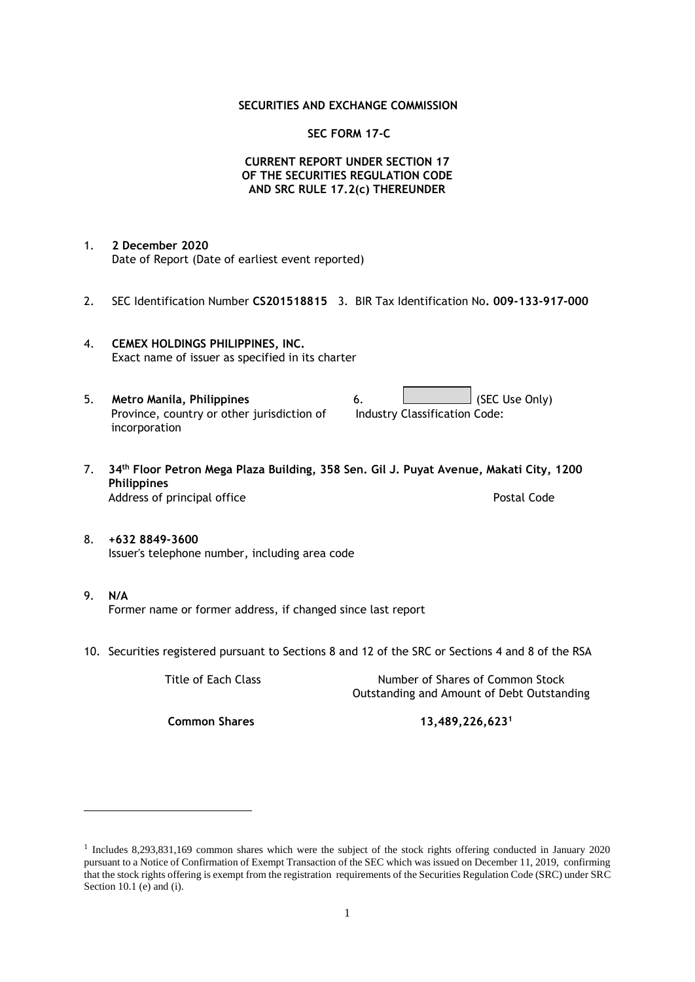# **SECURITIES AND EXCHANGE COMMISSION**

## **SEC FORM 17-C**

# **CURRENT REPORT UNDER SECTION 17 OF THE SECURITIES REGULATION CODE AND SRC RULE 17.2(c) THEREUNDER**

- 1. **2 December 2020** Date of Report (Date of earliest event reported)
- 2. SEC Identification Number **CS201518815** 3. BIR Tax Identification No**. 009-133-917-000**
- 4. **CEMEX HOLDINGS PHILIPPINES, INC.** Exact name of issuer as specified in its charter
- 5. **Metro Manila, Philippines** 6. **Consumers 6.** (SEC Use Only) Province, country or other jurisdiction of incorporation Industry Classification Code:
- 7. **34th Floor Petron Mega Plaza Building, 358 Sen. Gil J. Puyat Avenue, Makati City, 1200 Philippines** Address of principal office **Postal Code** Postal Code
- 8. **+632 8849-3600** Issuer's telephone number, including area code
- 9. **N/A** Former name or former address, if changed since last report
- 10. Securities registered pursuant to Sections 8 and 12 of the SRC or Sections 4 and 8 of the RSA

Title of Each Class Number of Shares of Common Stock Outstanding and Amount of Debt Outstanding

**Common Shares 13,489,226,623<sup>1</sup>**

<sup>1</sup> Includes 8,293,831,169 common shares which were the subject of the stock rights offering conducted in January 2020 pursuant to a Notice of Confirmation of Exempt Transaction of the SEC which was issued on December 11, 2019, confirming that the stock rights offering is exempt from the registration requirements of the Securities Regulation Code (SRC) under SRC Section 10.1 (e) and (i).